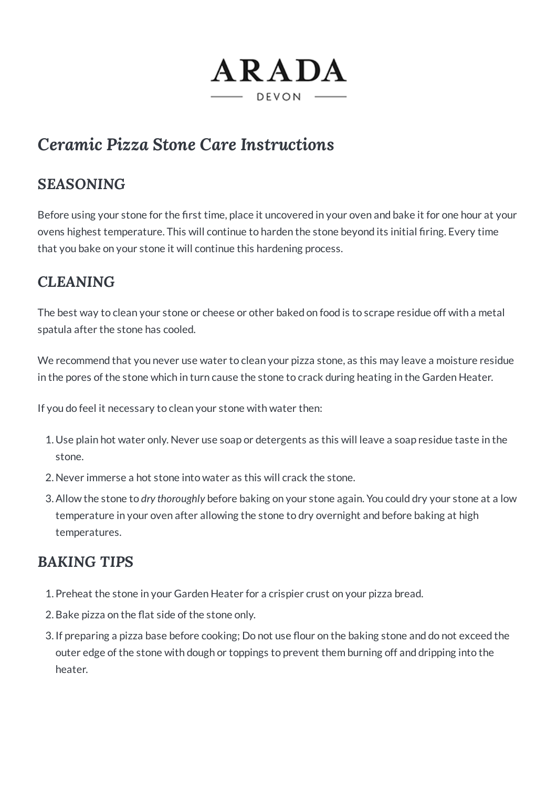

# *Ceramic Pizza Stone Care Instructions*

## *SEASONING*

Before using your stone for the first time, place it uncovered in your oven and bake it for one hour at your ovens highest temperature. This will continue to harden the stone beyond its initial firing. Every time that you bake on your stone it will continue this hardening process.

## *CLEANING*

The best way to clean your stone or cheese or other baked on food is to scrape residue off with a metal spatula after the stone has cooled.

We recommend that you never use water to clean your pizza stone, as this may leave a moisture residue in the pores of the stone which in turn cause the stone to crack during heating in the Garden Heater.

If you do feel it necessary to clean your stone with water then:

- 1. Use plain hot water only. Never use soap or detergents as this will leave a soap residue taste in the stone.
- 2. Never immerse a hot stone into water as this will crack the stone.
- 3.Allow the stone to *dry thoroughly* before baking on your stone again. You could dry your stone at a low temperature in your oven after allowing the stone to dry overnight and before baking at high temperatures.

## *BAKING TIPS*

- 1. Preheat the stone in your Garden Heater for a crispier crust on your pizza bread.
- 2.Bake pizza on the flat side of the stone only.
- 3. If preparing a pizza base before cooking; Do not use flour on the baking stone and do not exceed the outer edge of the stone with dough or toppings to prevent them burning off and dripping into the heater.